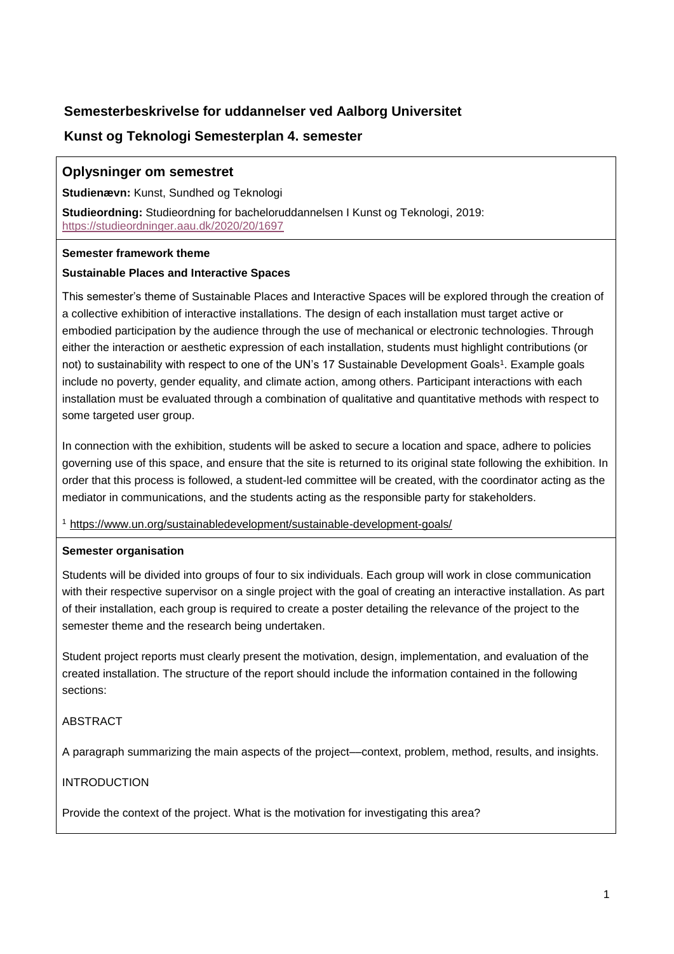# **Semesterbeskrivelse for uddannelser ved Aalborg Universitet**

# **Kunst og Teknologi Semesterplan 4. semester**

## **Oplysninger om semestret**

**Studienævn:** Kunst, Sundhed og Teknologi

**Studieordning:** Studieordning for bacheloruddannelsen I Kunst og Teknologi, 2019: <https://studieordninger.aau.dk/2020/20/1697>

### **Semester framework theme**

### **Sustainable Places and Interactive Spaces**

This semester's theme of Sustainable Places and Interactive Spaces will be explored through the creation of a collective exhibition of interactive installations. The design of each installation must target active or embodied participation by the audience through the use of mechanical or electronic technologies. Through either the interaction or aesthetic expression of each installation, students must highlight contributions (or not) to sustainability with respect to one of the UN's 17 Sustainable Development Goals<sup>1</sup>. Example goals include no poverty, gender equality, and climate action, among others. Participant interactions with each installation must be evaluated through a combination of qualitative and quantitative methods with respect to some targeted user group.

In connection with the exhibition, students will be asked to secure a location and space, adhere to policies governing use of this space, and ensure that the site is returned to its original state following the exhibition. In order that this process is followed, a student-led committee will be created, with the coordinator acting as the mediator in communications, and the students acting as the responsible party for stakeholders.

<sup>1</sup> <https://www.un.org/sustainabledevelopment/sustainable-development-goals/>

### **Semester organisation**

Students will be divided into groups of four to six individuals. Each group will work in close communication with their respective supervisor on a single project with the goal of creating an interactive installation. As part of their installation, each group is required to create a poster detailing the relevance of the project to the semester theme and the research being undertaken.

Student project reports must clearly present the motivation, design, implementation, and evaluation of the created installation. The structure of the report should include the information contained in the following sections:

### ABSTRACT

A paragraph summarizing the main aspects of the project––context, problem, method, results, and insights.

### INTRODUCTION

Provide the context of the project. What is the motivation for investigating this area?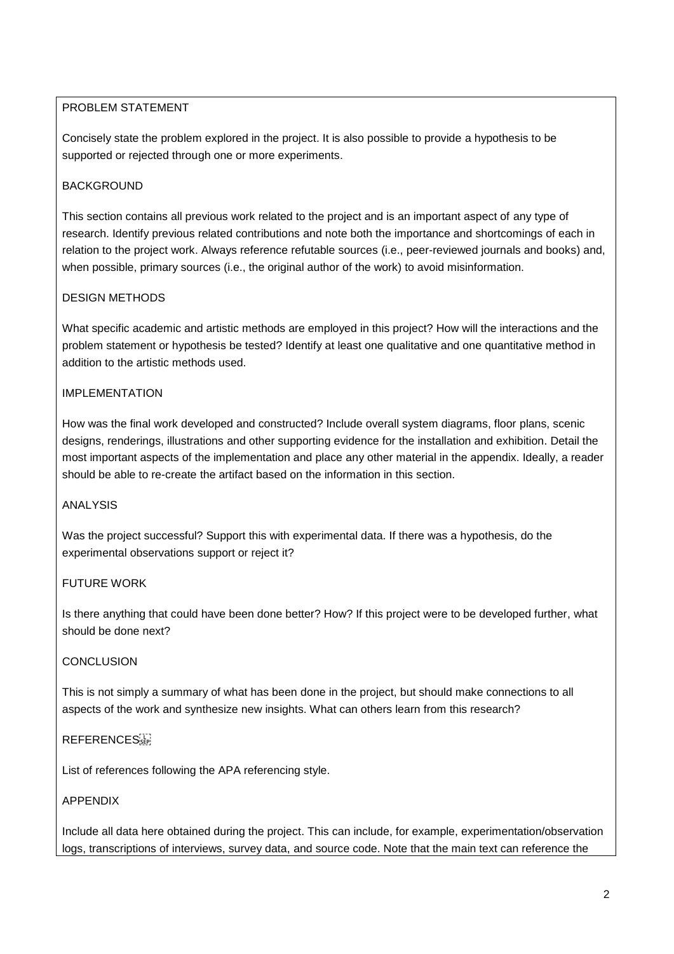## PROBLEM STATEMENT

Concisely state the problem explored in the project. It is also possible to provide a hypothesis to be supported or rejected through one or more experiments.

## **BACKGROUND**

This section contains all previous work related to the project and is an important aspect of any type of research. Identify previous related contributions and note both the importance and shortcomings of each in relation to the project work. Always reference refutable sources (i.e., peer-reviewed journals and books) and, when possible, primary sources (i.e., the original author of the work) to avoid misinformation.

## DESIGN METHODS

What specific academic and artistic methods are employed in this project? How will the interactions and the problem statement or hypothesis be tested? Identify at least one qualitative and one quantitative method in addition to the artistic methods used.

## IMPI EMENTATION

How was the final work developed and constructed? Include overall system diagrams, floor plans, scenic designs, renderings, illustrations and other supporting evidence for the installation and exhibition. Detail the most important aspects of the implementation and place any other material in the appendix. Ideally, a reader should be able to re-create the artifact based on the information in this section.

### ANALYSIS

Was the project successful? Support this with experimental data. If there was a hypothesis, do the experimental observations support or reject it?

### FUTURE WORK

Is there anything that could have been done better? How? If this project were to be developed further, what should be done next?

### **CONCLUSION**

This is not simply a summary of what has been done in the project, but should make connections to all aspects of the work and synthesize new insights. What can others learn from this research?

### REFERENCES<sup>[1]</sup>

List of references following the APA referencing style.

### APPENDIX

Include all data here obtained during the project. This can include, for example, experimentation/observation logs, transcriptions of interviews, survey data, and source code. Note that the main text can reference the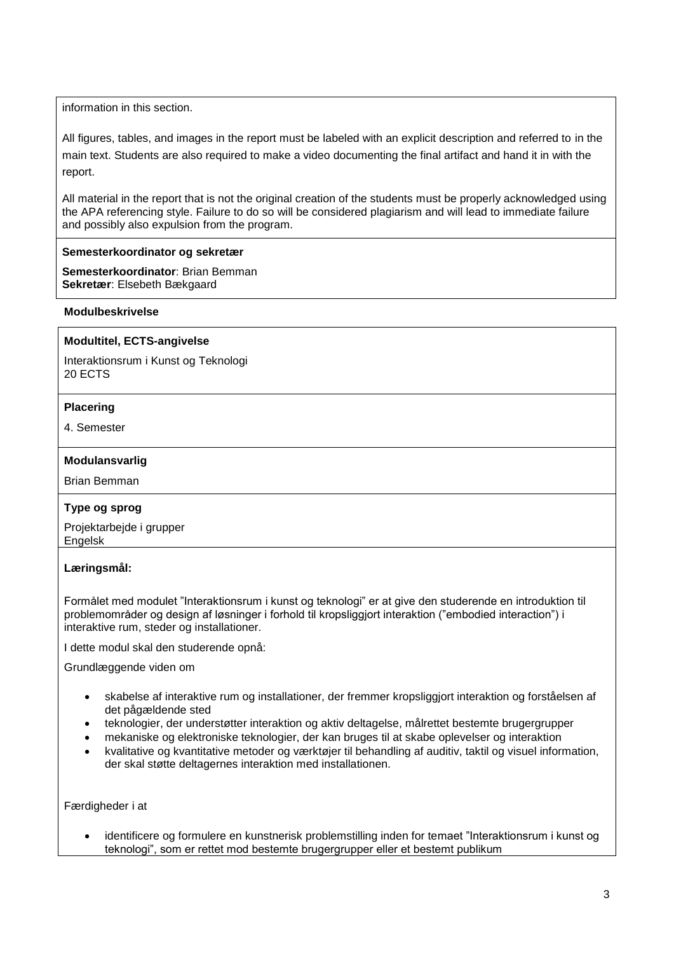information in this section.

All figures, tables, and images in the report must be labeled with an explicit description and referred to in the main text. Students are also required to make a video documenting the final artifact and hand it in with the report.

All material in the report that is not the original creation of the students must be properly acknowledged using the APA referencing style. Failure to do so will be considered plagiarism and will lead to immediate failure and possibly also expulsion from the program.

#### **Semesterkoordinator og sekretær**

**Semesterkoordinator**: Brian Bemman **Sekretær**: Elsebeth Bækgaard

#### **Modulbeskrivelse**

### **Modultitel, ECTS-angivelse**

Interaktionsrum i Kunst og Teknologi 20 ECTS

#### **Placering**

4. Semester

#### **Modulansvarlig**

Brian Bemman

### **Type og sprog**

Projektarbejde i grupper Engelsk

### **Læringsmål:**

Formålet med modulet "Interaktionsrum i kunst og teknologi" er at give den studerende en introduktion til problemområder og design af løsninger i forhold til kropsliggjort interaktion ("embodied interaction") i interaktive rum, steder og installationer.

I dette modul skal den studerende opnå:

Grundlæggende viden om

- skabelse af interaktive rum og installationer, der fremmer kropsliggjort interaktion og forståelsen af det pågældende sted
- teknologier, der understøtter interaktion og aktiv deltagelse, målrettet bestemte brugergrupper
- mekaniske og elektroniske teknologier, der kan bruges til at skabe oplevelser og interaktion
- kvalitative og kvantitative metoder og værktøjer til behandling af auditiv, taktil og visuel information, der skal støtte deltagernes interaktion med installationen.

Færdigheder i at

 identificere og formulere en kunstnerisk problemstilling inden for temaet "Interaktionsrum i kunst og teknologi", som er rettet mod bestemte brugergrupper eller et bestemt publikum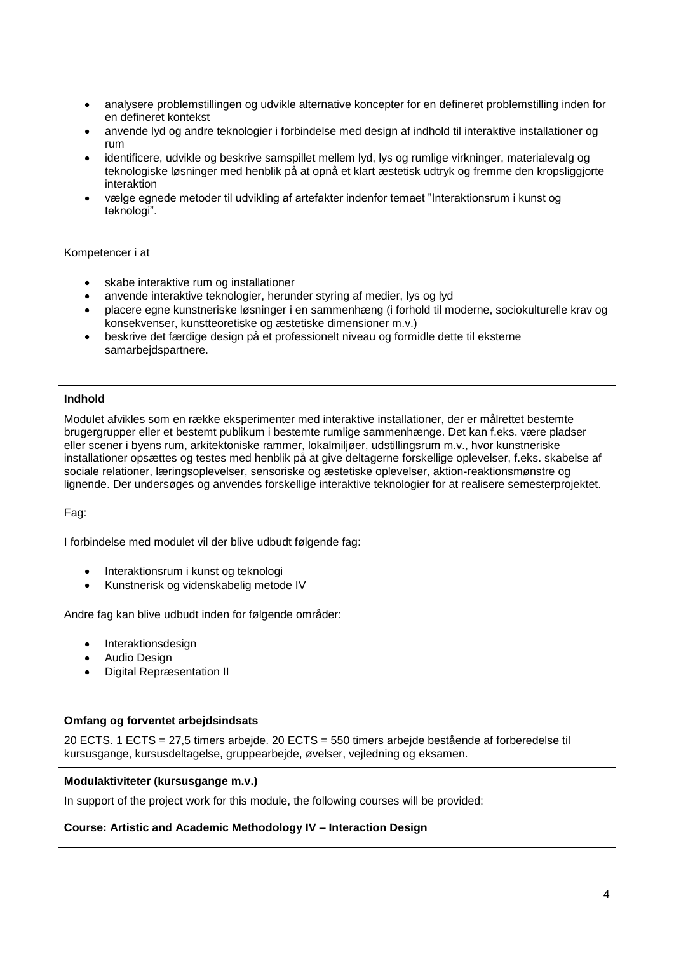- analysere problemstillingen og udvikle alternative koncepter for en defineret problemstilling inden for en defineret kontekst
- anvende lyd og andre teknologier i forbindelse med design af indhold til interaktive installationer og rum
- identificere, udvikle og beskrive samspillet mellem lyd, lys og rumlige virkninger, materialevalg og teknologiske løsninger med henblik på at opnå et klart æstetisk udtryk og fremme den kropsliggjorte interaktion
- vælge egnede metoder til udvikling af artefakter indenfor temaet "Interaktionsrum i kunst og teknologi".

### Kompetencer i at

- skabe interaktive rum og installationer
- anvende interaktive teknologier, herunder styring af medier, lys og lyd
- placere egne kunstneriske løsninger i en sammenhæng (i forhold til moderne, sociokulturelle krav og konsekvenser, kunstteoretiske og æstetiske dimensioner m.v.)
- beskrive det færdige design på et professionelt niveau og formidle dette til eksterne samarbejdspartnere.

### **Indhold**

Modulet afvikles som en række eksperimenter med interaktive installationer, der er målrettet bestemte brugergrupper eller et bestemt publikum i bestemte rumlige sammenhænge. Det kan f.eks. være pladser eller scener i byens rum, arkitektoniske rammer, lokalmiljøer, udstillingsrum m.v., hvor kunstneriske installationer opsættes og testes med henblik på at give deltagerne forskellige oplevelser, f.eks. skabelse af sociale relationer, læringsoplevelser, sensoriske og æstetiske oplevelser, aktion-reaktionsmønstre og lignende. Der undersøges og anvendes forskellige interaktive teknologier for at realisere semesterprojektet.

Fag:

I forbindelse med modulet vil der blive udbudt følgende fag:

- Interaktionsrum i kunst og teknologi
- Kunstnerisk og videnskabelig metode IV

Andre fag kan blive udbudt inden for følgende områder:

- Interaktionsdesign
- Audio Design
- Digital Repræsentation II

### **Omfang og forventet arbejdsindsats**

20 ECTS. 1 ECTS = 27,5 timers arbejde. 20 ECTS = 550 timers arbejde bestående af forberedelse til kursusgange, kursusdeltagelse, gruppearbejde, øvelser, vejledning og eksamen.

### **Modulaktiviteter (kursusgange m.v.)**

In support of the project work for this module, the following courses will be provided:

### **Course: Artistic and Academic Methodology IV – Interaction Design**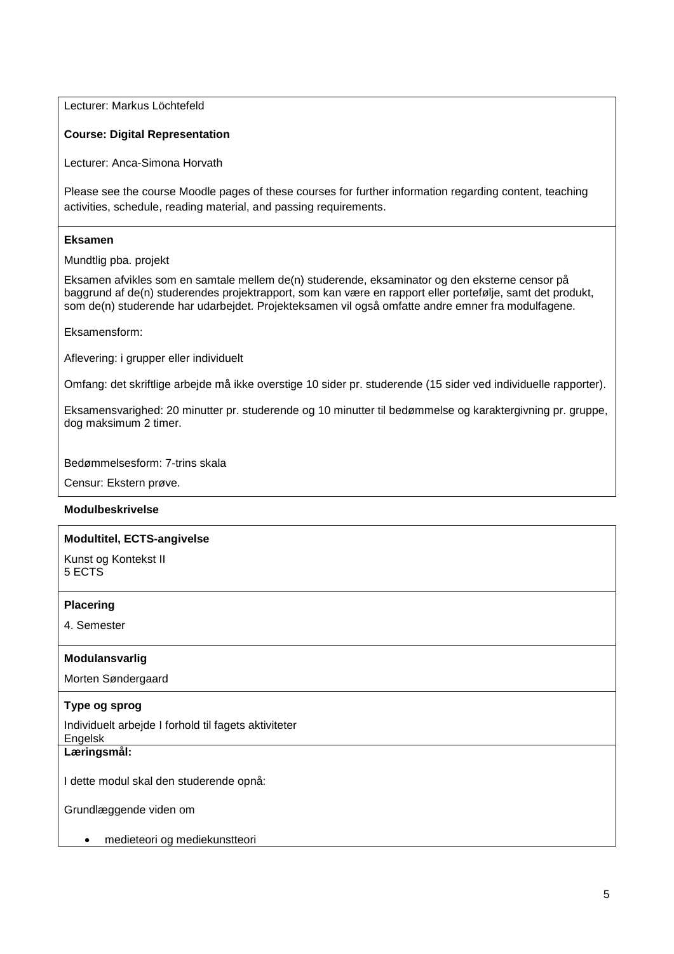Lecturer: Markus Löchtefeld

### **Course: Digital Representation**

Lecturer: Anca-Simona Horvath

Please see the course Moodle pages of these courses for further information regarding content, teaching activities, schedule, reading material, and passing requirements.

### **Eksamen**

Mundtlig pba. projekt

Eksamen afvikles som en samtale mellem de(n) studerende, eksaminator og den eksterne censor på baggrund af de(n) studerendes projektrapport, som kan være en rapport eller portefølje, samt det produkt, som de(n) studerende har udarbejdet. Projekteksamen vil også omfatte andre emner fra modulfagene.

Eksamensform:

Aflevering: i grupper eller individuelt

Omfang: det skriftlige arbejde må ikke overstige 10 sider pr. studerende (15 sider ved individuelle rapporter).

Eksamensvarighed: 20 minutter pr. studerende og 10 minutter til bedømmelse og karaktergivning pr. gruppe, dog maksimum 2 timer.

Bedømmelsesform: 7-trins skala

Censur: Ekstern prøve.

### **Modulbeskrivelse**

#### **Modultitel, ECTS-angivelse**

Kunst og Kontekst II 5 ECTS

#### **Placering**

4. Semester

### **Modulansvarlig**

Morten Søndergaard

### **Type og sprog**

Individuelt arbejde I forhold til fagets aktiviteter

Engelsk

**Læringsmål:** 

I dette modul skal den studerende opnå:

Grundlæggende viden om

medieteori og mediekunstteori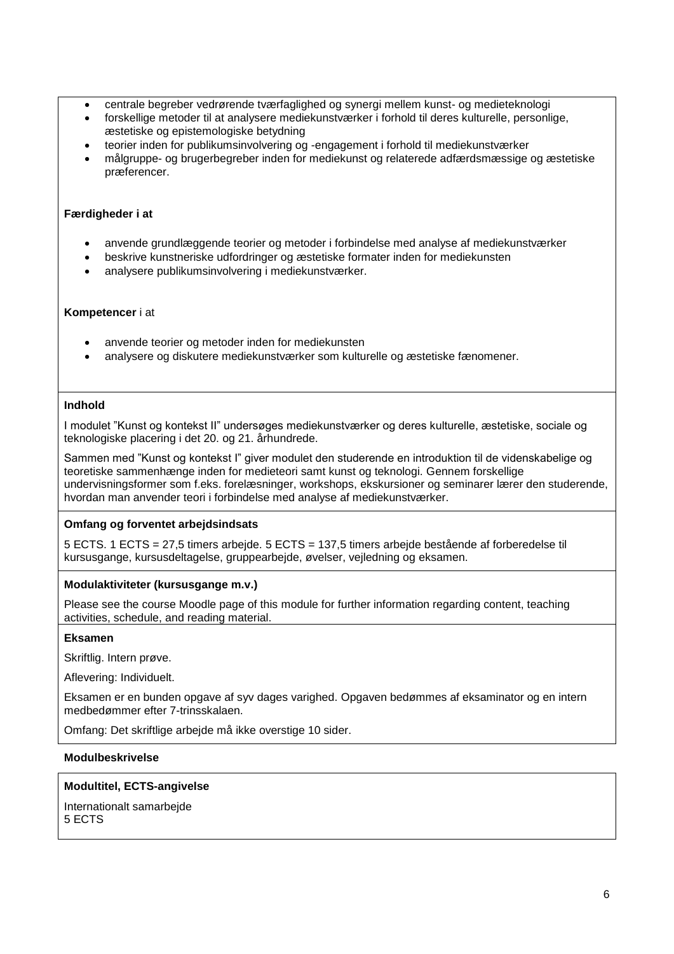- centrale begreber vedrørende tværfaglighed og synergi mellem kunst- og medieteknologi
- forskellige metoder til at analysere mediekunstværker i forhold til deres kulturelle, personlige, æstetiske og epistemologiske betydning
- teorier inden for publikumsinvolvering og -engagement i forhold til mediekunstværker
- målgruppe- og brugerbegreber inden for mediekunst og relaterede adfærdsmæssige og æstetiske præferencer.

### **Færdigheder i at**

- anvende grundlæggende teorier og metoder i forbindelse med analyse af mediekunstværker
- beskrive kunstneriske udfordringer og æstetiske formater inden for mediekunsten
- analysere publikumsinvolvering i mediekunstværker.

#### **Kompetencer** i at

- anvende teorier og metoder inden for mediekunsten
- analysere og diskutere mediekunstværker som kulturelle og æstetiske fænomener.

### **Indhold**

I modulet "Kunst og kontekst II" undersøges mediekunstværker og deres kulturelle, æstetiske, sociale og teknologiske placering i det 20. og 21. århundrede.

Sammen med "Kunst og kontekst I" giver modulet den studerende en introduktion til de videnskabelige og teoretiske sammenhænge inden for medieteori samt kunst og teknologi. Gennem forskellige undervisningsformer som f.eks. forelæsninger, workshops, ekskursioner og seminarer lærer den studerende, hvordan man anvender teori i forbindelse med analyse af mediekunstværker.

### **Omfang og forventet arbejdsindsats**

5 ECTS. 1 ECTS = 27,5 timers arbejde. 5 ECTS = 137,5 timers arbejde bestående af forberedelse til kursusgange, kursusdeltagelse, gruppearbejde, øvelser, vejledning og eksamen.

### **Modulaktiviteter (kursusgange m.v.)**

Please see the course Moodle page of this module for further information regarding content, teaching activities, schedule, and reading material.

### **Eksamen**

Skriftlig. Intern prøve.

Aflevering: Individuelt.

Eksamen er en bunden opgave af syv dages varighed. Opgaven bedømmes af eksaminator og en intern medbedømmer efter 7-trinsskalaen.

Omfang: Det skriftlige arbejde må ikke overstige 10 sider.

### **Modulbeskrivelse**

### **Modultitel, ECTS-angivelse**

Internationalt samarbejde 5 ECTS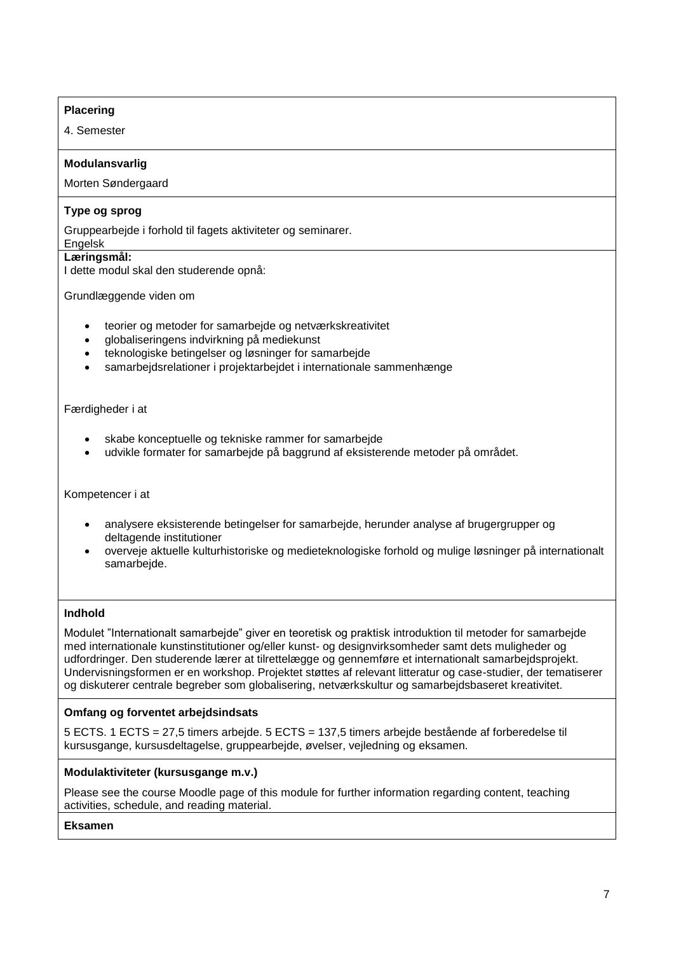## **Placering**

4. Semester

## **Modulansvarlig**

Morten Søndergaard

## **Type og sprog**

Gruppearbejde i forhold til fagets aktiviteter og seminarer.

#### Engelsk **Læringsmål:**

I dette modul skal den studerende opnå:

Grundlæggende viden om

- teorier og metoder for samarbejde og netværkskreativitet
- globaliseringens indvirkning på mediekunst
- teknologiske betingelser og løsninger for samarbejde
- samarbejdsrelationer i projektarbejdet i internationale sammenhænge

Færdigheder i at

- skabe konceptuelle og tekniske rammer for samarbejde
- udvikle formater for samarbejde på baggrund af eksisterende metoder på området.

Kompetencer i at

- analysere eksisterende betingelser for samarbejde, herunder analyse af brugergrupper og deltagende institutioner
- overveje aktuelle kulturhistoriske og medieteknologiske forhold og mulige løsninger på internationalt samarbejde.

### **Indhold**

Modulet "Internationalt samarbejde" giver en teoretisk og praktisk introduktion til metoder for samarbejde med internationale kunstinstitutioner og/eller kunst- og designvirksomheder samt dets muligheder og udfordringer. Den studerende lærer at tilrettelægge og gennemføre et internationalt samarbejdsprojekt. Undervisningsformen er en workshop. Projektet støttes af relevant litteratur og case-studier, der tematiserer og diskuterer centrale begreber som globalisering, netværkskultur og samarbejdsbaseret kreativitet.

### **Omfang og forventet arbejdsindsats**

5 ECTS. 1 ECTS = 27,5 timers arbejde. 5 ECTS = 137,5 timers arbejde bestående af forberedelse til kursusgange, kursusdeltagelse, gruppearbejde, øvelser, vejledning og eksamen.

### **Modulaktiviteter (kursusgange m.v.)**

Please see the course Moodle page of this module for further information regarding content, teaching activities, schedule, and reading material.

**Eksamen**